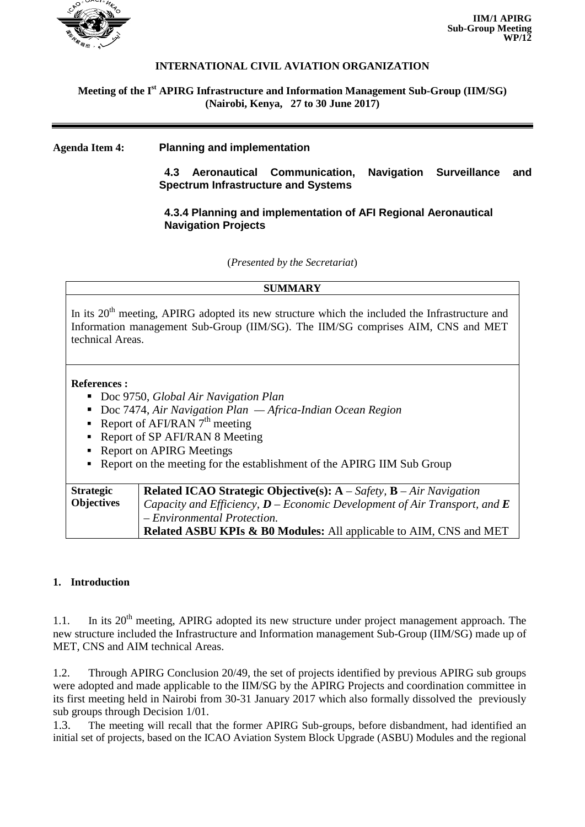

## **INTERNATIONAL CIVIL AVIATION ORGANIZATION**

### **Meeting of the I st APIRG Infrastructure and Information Management Sub-Group (IIM/SG) (Nairobi, Kenya, 27 to 30 June 2017)**

### **Agenda Item 4: Planning and implementation**

**4.3 Aeronautical Communication, Navigation Surveillance and Spectrum Infrastructure and Systems**

# **4.3.4 Planning and implementation of AFI Regional Aeronautical Navigation Projects**

(*Presented by the Secretariat*)

# **SUMMARY** In its  $20<sup>th</sup>$  meeting, APIRG adopted its new structure which the included the Infrastructure and Information management Sub-Group (IIM/SG). The IIM/SG comprises AIM, CNS and MET technical Areas. **References :**  Doc 9750, *Global Air Navigation Plan* ■ Doc 7474, *Air Navigation Plan* — *Africa-Indian Ocean Region* Report of AFI/RAN  $7<sup>th</sup>$  meeting Report of SP AFI/RAN 8 Meeting • Report on APIRG Meetings Report on the meeting for the establishment of the APIRG IIM Sub Group **Strategic Related ICAO Strategic Objective(s): A** – *Safety,* **B** – *Air Navigation*

| <b>DURUCER</b>    | <b>Related ICAO Strategic Objective(s). A</b> sujety, <b>D</b> The intergation     |
|-------------------|------------------------------------------------------------------------------------|
| <b>Objectives</b> | Capacity and Efficiency, $D$ – Economic Development of Air Transport, and <b>E</b> |
|                   | - Environmental Protection.                                                        |
|                   | <b>Related ASBU KPIs &amp; B0 Modules:</b> All applicable to AIM, CNS and MET      |

## **1. Introduction**

1.1. In its 20<sup>th</sup> meeting, APIRG adopted its new structure under project management approach. The new structure included the Infrastructure and Information management Sub-Group (IIM/SG) made up of MET, CNS and AIM technical Areas.

1.2. Through APIRG Conclusion 20/49, the set of projects identified by previous APIRG sub groups were adopted and made applicable to the IIM/SG by the APIRG Projects and coordination committee in its first meeting held in Nairobi from 30-31 January 2017 which also formally dissolved the previously sub groups through Decision 1/01.

1.3. The meeting will recall that the former APIRG Sub-groups, before disbandment, had identified an initial set of projects, based on the ICAO Aviation System Block Upgrade (ASBU) Modules and the regional